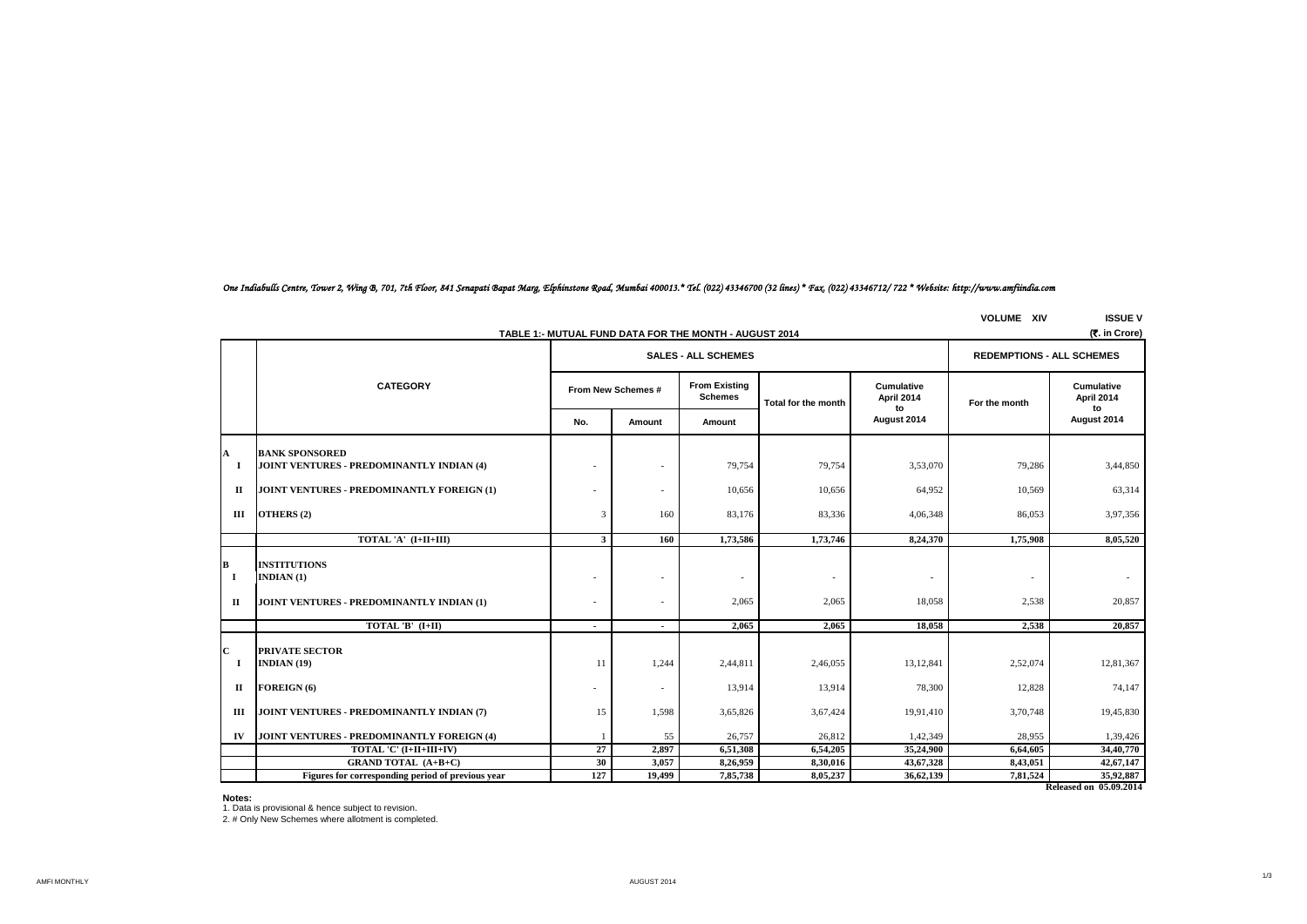# *One Indiabulls Centre, Tower 2, Wing B, 701, 7th Floor, 841 Senapati Bapat Marg, Elphinstone Road, Mumbai 400013.\* Tel. (022) 43346700 (32 lines) \* Fax. (022) 43346712/ 722 \* Website: http://www.amfiindia.com*

**VOLUME XIV ISSUE V**

|                    | (र. in Crore)<br>TABLE 1:- MUTUAL FUND DATA FOR THE MONTH - AUGUST 2014          |                          |                                                      |                                        |                     |                                       |               |                                |  |  |
|--------------------|----------------------------------------------------------------------------------|--------------------------|------------------------------------------------------|----------------------------------------|---------------------|---------------------------------------|---------------|--------------------------------|--|--|
|                    |                                                                                  |                          | <b>SALES - ALL SCHEMES</b>                           | <b>REDEMPTIONS - ALL SCHEMES</b>       |                     |                                       |               |                                |  |  |
|                    | <b>CATEGORY</b>                                                                  | From New Schemes #       |                                                      | <b>From Existing</b><br><b>Schemes</b> | Total for the month | <b>Cumulative</b><br>April 2014<br>to | For the month | Cumulative<br>April 2014<br>to |  |  |
|                    |                                                                                  | No.                      | Amount                                               | Amount                                 |                     | August 2014                           |               | August 2014                    |  |  |
| A                  | <b>BANK SPONSORED</b>                                                            |                          |                                                      |                                        |                     |                                       |               |                                |  |  |
| $\mathbf I$        | <b>JOINT VENTURES - PREDOMINANTLY INDIAN (4)</b>                                 | ÷                        |                                                      | 79,754                                 | 79,754              | 3,53,070                              | 79,286        | 3,44,850                       |  |  |
| п                  | JOINT VENTURES - PREDOMINANTLY FOREIGN (1)                                       | $\overline{a}$           | $\overline{\phantom{a}}$                             | 10,656                                 | 10,656              | 64,952                                | 10,569        | 63,314                         |  |  |
| Ш                  | OTHERS (2)                                                                       | 3                        | 160                                                  | 83,176                                 | 83,336              | 4,06,348                              | 86,053        | 3,97,356                       |  |  |
|                    | TOTAL 'A' (I+II+III)                                                             | 3                        | <b>160</b>                                           | 1,73,586                               | 1,73,746            | 8,24,370                              | 1,75,908      | 8,05,520                       |  |  |
| В<br><b>I</b><br>п | <b>INSTITUTIONS</b><br>INDIAN $(1)$<br>JOINT VENTURES - PREDOMINANTLY INDIAN (1) | $\overline{\phantom{a}}$ | $\overline{\phantom{a}}$<br>$\overline{\phantom{a}}$ | $\overline{\phantom{a}}$<br>2,065      | 2,065               | $\overline{\phantom{a}}$<br>18,058    | 2,538         | 20,857                         |  |  |
|                    | TOTAL 'B' $(I+II)$                                                               | $\blacksquare$           | $\blacksquare$                                       | 2,065                                  | 2,065               | 18,058                                | 2,538         | 20,857                         |  |  |
| $\mathbf{C}$<br>-1 | <b>PRIVATE SECTOR</b><br><b>INDIAN (19)</b>                                      | 11                       | 1,244                                                | 2,44,811                               | 2,46,055            | 13, 12, 841                           | 2,52,074      | 12,81,367                      |  |  |
| П                  | FOREIGN (6)                                                                      | ٠                        | $\overline{\phantom{a}}$                             | 13,914                                 | 13,914              | 78,300                                | 12,828        | 74,147                         |  |  |
| Ш                  | JOINT VENTURES - PREDOMINANTLY INDIAN (7)                                        | 15                       | 1,598                                                | 3,65,826                               | 3,67,424            | 19,91,410                             | 3,70,748      | 19,45,830                      |  |  |
| IV                 | <b>JOINT VENTURES - PREDOMINANTLY FOREIGN (4)</b>                                |                          | 55                                                   | 26,757                                 | 26,812              | 1,42,349                              | 28,955        | 1,39,426                       |  |  |
|                    | TOTAL 'C' (I+II+III+IV)                                                          | 27                       | 2,897                                                | 6,51,308                               | 6,54,205            | 35,24,900                             | 6,64,605      | 34,40,770                      |  |  |
|                    | <b>GRAND TOTAL (A+B+C)</b>                                                       | 30                       | 3,057                                                | 8,26,959                               | 8,30,016            | 43,67,328                             | 8,43,051      | 42,67,147                      |  |  |
|                    | Figures for corresponding period of previous year                                | 127                      | 19,499                                               | 7,85,738                               | 8,05,237            | 36,62,139                             | 7,81,524      | 35,92,887                      |  |  |
|                    |                                                                                  |                          |                                                      |                                        |                     |                                       |               | Released on 05.09.2014         |  |  |

#### **Notes:**

1. Data is provisional & hence subject to revision. 2. # Only New Schemes where allotment is completed.

AMFI MONTHLY AUGUST 2014

1/3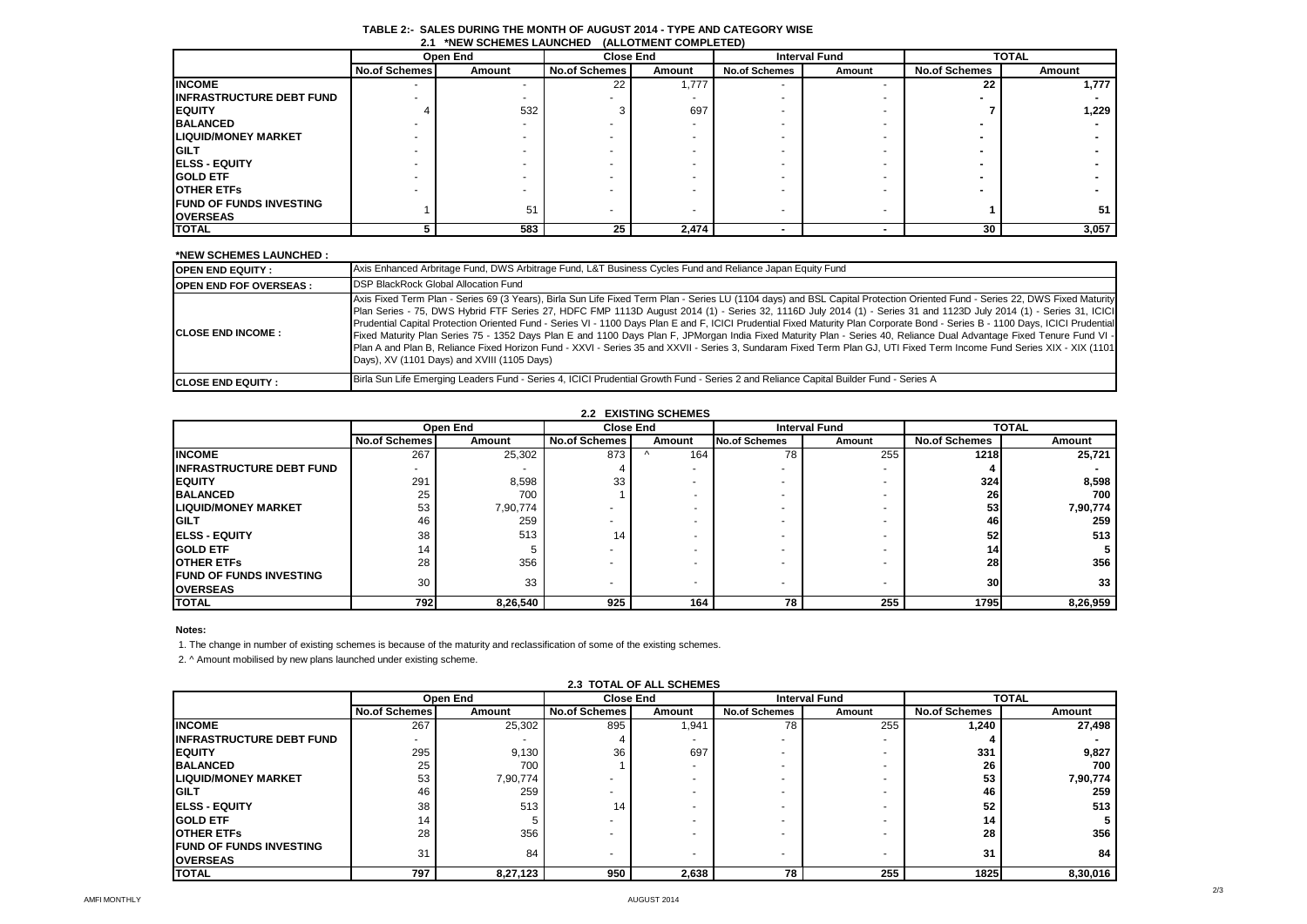| .<br><b>INLIV OUTILIVILY LAUNUILL</b><br><b>INLLYIMLINI COMI LLILDI</b> |                      |          |                      |                  |                      |                      |                      |              |  |
|-------------------------------------------------------------------------|----------------------|----------|----------------------|------------------|----------------------|----------------------|----------------------|--------------|--|
|                                                                         |                      | Open End |                      | <b>Close End</b> |                      | <b>Interval Fund</b> |                      | <b>TOTAL</b> |  |
|                                                                         | <b>No.of Schemes</b> | Amount   | <b>No.of Schemes</b> | Amount           | <b>No.of Schemes</b> | Amount               | <b>No.of Schemes</b> | Amount       |  |
| <b>INCOME</b>                                                           |                      |          | 22                   | 1,777            |                      |                      | 22                   | 1,777        |  |
| <b>IINFRASTRUCTURE DEBT FUND</b>                                        |                      |          |                      |                  |                      |                      |                      |              |  |
| <b>IEQUITY</b>                                                          |                      | 532      |                      | 697              |                      |                      |                      | 1,229        |  |
| <b>BALANCED</b>                                                         |                      |          |                      |                  |                      |                      |                      |              |  |
| <b>ILIQUID/MONEY MARKET</b>                                             |                      |          |                      |                  |                      |                      |                      |              |  |
| <b>GILT</b>                                                             |                      |          |                      |                  |                      |                      |                      |              |  |
| <b>ELSS - EQUITY</b>                                                    |                      |          |                      |                  |                      |                      |                      |              |  |
| <b>GOLD ETF</b>                                                         |                      |          |                      |                  |                      |                      |                      |              |  |
| <b>IOTHER ETFS</b>                                                      |                      |          |                      |                  |                      |                      |                      |              |  |
| <b>IFUND OF FUNDS INVESTING</b>                                         |                      | 51       |                      |                  |                      |                      |                      | 51           |  |
| <b>OVERSEAS</b>                                                         |                      |          |                      |                  |                      |                      |                      |              |  |
| <b>TOTAL</b>                                                            |                      | 583      | 25                   | 2,474            |                      |                      | 30                   | 3,057        |  |

#### **TABLE 2:- SALES DURING THE MONTH OF AUGUST 2014 - TYPE AND CATEGORY WISE 2.1 \*NEW SCHEMES LAUNCHED (ALLOTMENT COMPLETED)**

# **\*NEW SCHEMES LAUNCHED :**

| <b>OPEN END EQUITY:</b>         | Axis Enhanced Arbritage Fund, DWS Arbitrage Fund, L&T Business Cycles Fund and Reliance Japan Equity Fund                                                                                                                                                                                                                                                                                                                                                                                                                                                                                                                                                                                                                                                                                                                                                                                                                             |
|---------------------------------|---------------------------------------------------------------------------------------------------------------------------------------------------------------------------------------------------------------------------------------------------------------------------------------------------------------------------------------------------------------------------------------------------------------------------------------------------------------------------------------------------------------------------------------------------------------------------------------------------------------------------------------------------------------------------------------------------------------------------------------------------------------------------------------------------------------------------------------------------------------------------------------------------------------------------------------|
| <b>IOPEN END FOF OVERSEAS :</b> | <b>DSP BlackRock Global Allocation Fund</b>                                                                                                                                                                                                                                                                                                                                                                                                                                                                                                                                                                                                                                                                                                                                                                                                                                                                                           |
| <b>ICLOSE END INCOME:</b>       | Axis Fixed Term Plan - Series 69 (3 Years), Birla Sun Life Fixed Term Plan - Series LU (1104 days) and BSL Capital Protection Oriented Fund - Series 22, DWS Fixed Maturity<br>Plan Series - 75, DWS Hybrid FTF Series 27, HDFC FMP 1113D August 2014 (1) - Series 32, 1116D July 2014 (1) - Series 31 and 1123D July 2014 (1) - Series 31, ICICI<br>Prudential Capital Protection Oriented Fund - Series VI - 1100 Days Plan E and F, ICICI Prudential Fixed Maturity Plan Corporate Bond - Series B - 1100 Days, ICICI Prudential<br>Fixed Maturity Plan Series 75 - 1352 Days Plan E and 1100 Days Plan F, JPMorgan India Fixed Maturity Plan - Series 40, Reliance Dual Advantage Fixed Tenure Fund VI -<br>Plan A and Plan B, Reliance Fixed Horizon Fund - XXVI - Series 35 and XXVII - Series 3, Sundaram Fixed Term Plan GJ, UTI Fixed Term Income Fund Series XIX - XIX (1101<br>Days), XV (1101 Days) and XVIII (1105 Days) |
| <b>ICLOSE END EQUITY :</b>      | Birla Sun Life Emerging Leaders Fund - Series 4, ICICI Prudential Growth Fund - Series 2 and Reliance Capital Builder Fund - Series A                                                                                                                                                                                                                                                                                                                                                                                                                                                                                                                                                                                                                                                                                                                                                                                                 |

#### **2.2 EXISTING SCHEMES**

|                                                    |                      | Open End |                      | <b>Close End</b><br><b>Interval Fund</b> |                      | <b>TOTAL</b> |                      |          |
|----------------------------------------------------|----------------------|----------|----------------------|------------------------------------------|----------------------|--------------|----------------------|----------|
|                                                    | <b>No.of Schemes</b> | Amount   | <b>No.of Schemes</b> | Amount                                   | <b>No.of Schemes</b> | Amount       | <b>No.of Schemes</b> | Amount   |
| <b>INCOME</b>                                      | 267                  | 25,302   | 873                  | 164<br>$\Lambda$                         | 78                   | 255          | 1218                 | 25,721   |
| <b>IINFRASTRUCTURE DEBT FUND</b>                   |                      |          |                      |                                          |                      |              |                      |          |
| <b>IEQUITY</b>                                     | 291                  | 8,598    | 33                   |                                          |                      |              | 324                  | 8,598    |
| <b>BALANCED</b>                                    | 25                   | 700      |                      |                                          |                      |              | 26                   | 700      |
| <b>LIQUID/MONEY MARKET</b>                         | 53                   | 7,90,774 |                      | -                                        |                      |              | 53                   | 7,90,774 |
| <b>IGILT</b>                                       | 46                   | 259      |                      | -                                        |                      |              | 46                   | 259      |
| <b>IELSS - EQUITY</b>                              | 38                   | 513      | 14                   |                                          |                      |              | 52                   | 513      |
| <b>IGOLD ETF</b>                                   | 14                   |          |                      | -                                        |                      |              | 14                   |          |
| <b>OTHER ETFS</b>                                  | 28                   | 356      |                      | -                                        |                      |              | 28                   | 356      |
| <b>IFUND OF FUNDS INVESTING</b><br><b>OVERSEAS</b> | 30                   | 33       |                      | -                                        |                      |              | 30 <sup>1</sup>      | 33       |
| <b>TOTAL</b>                                       | 7921                 | 8,26,540 | 925                  | 164                                      | 78                   | 255          | 1795                 | 8,26,959 |

# **Notes:**

1. The change in number of existing schemes is because of the maturity and reclassification of some of the existing schemes.

2. ^ Amount mobilised by new plans launched under existing scheme.

|                                 |               | Open End | <b>Close End</b>     |        | <b>Interval Fund</b> |        | <b>TOTAL</b>         |          |
|---------------------------------|---------------|----------|----------------------|--------|----------------------|--------|----------------------|----------|
|                                 | No.of Schemes | Amount   | <b>No.of Schemes</b> | Amount | <b>No.of Schemes</b> | Amount | <b>No.of Schemes</b> | Amount   |
| <b>INCOME</b>                   | 267           | 25,302   | 895                  | 1,941  | 78                   | 255    | 1,240                | 27,498   |
| <b>INFRASTRUCTURE DEBT FUND</b> |               |          |                      |        |                      |        |                      |          |
| <b>IEQUITY</b>                  | 295           | 9,130    | 36                   | 697    |                      |        | 331                  | 9,827    |
| <b>BALANCED</b>                 | 25            | 700      |                      |        | -                    | ۰      | 26                   | 700      |
| <b>LIQUID/MONEY MARKET</b>      | 53            | 7,90,774 |                      |        |                      |        | 53                   | 7,90,774 |
| <b>IGILT</b>                    | 46            | 259      |                      |        |                      |        | 46                   | 259      |
| <b>IELSS - EQUITY</b>           | 38            | 513      | 14                   |        | -                    |        | 52                   | 513      |
| <b>IGOLD ETF</b>                | 14            |          |                      |        |                      |        | 14                   |          |
| <b>OTHER ETFS</b>               | 28            | 356      |                      |        | -                    |        | 28                   | 356      |
| <b>IFUND OF FUNDS INVESTING</b> | 31            | 84       |                      |        |                      | -      | 31                   | 84       |
| <b>IOVERSEAS</b>                |               |          |                      |        |                      |        |                      |          |
| <b>TOTAL</b>                    | 797           | 8,27,123 | 950                  | 2,638  | 78                   | 255    | 1825                 | 8,30,016 |